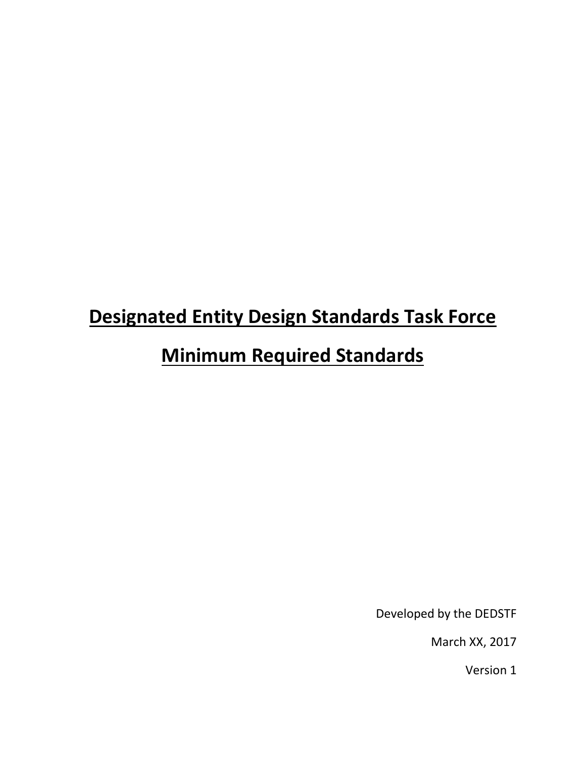# **Designated Entity Design Standards Task Force**

# **Minimum Required Standards**

Developed by the DEDSTF

March XX, 2017

Version 1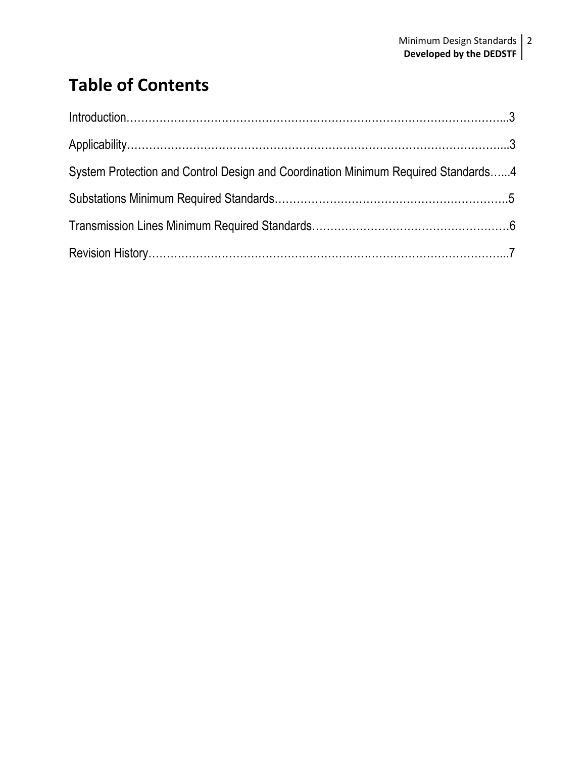## **Table of Contents**

| Introduction 3                                                                    |  |
|-----------------------------------------------------------------------------------|--|
|                                                                                   |  |
| System Protection and Control Design and Coordination Minimum Required Standards4 |  |
|                                                                                   |  |
|                                                                                   |  |
|                                                                                   |  |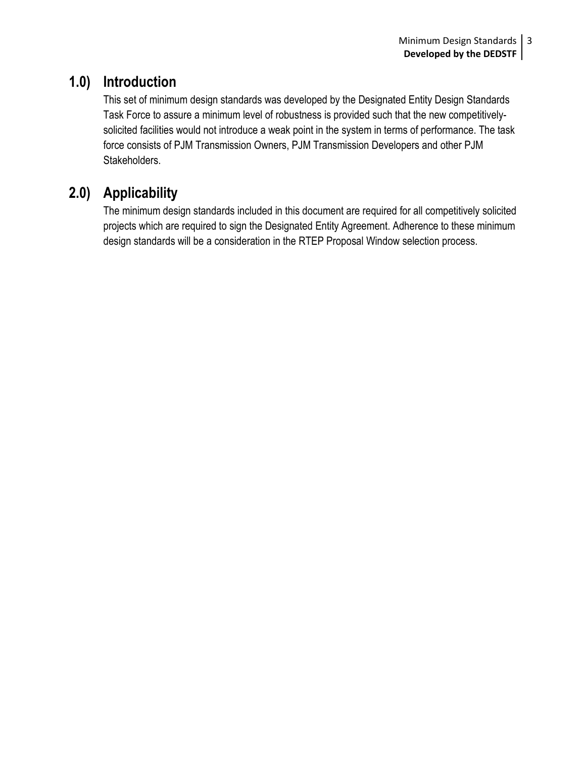### **1.0) Introduction**

This set of minimum design standards was developed by the Designated Entity Design Standards Task Force to assure a minimum level of robustness is provided such that the new competitivelysolicited facilities would not introduce a weak point in the system in terms of performance. The task force consists of PJM Transmission Owners, PJM Transmission Developers and other PJM Stakeholders.

### **2.0) Applicability**

The minimum design standards included in this document are required for all competitively solicited projects which are required to sign the Designated Entity Agreement. Adherence to these minimum design standards will be a consideration in the RTEP Proposal Window selection process.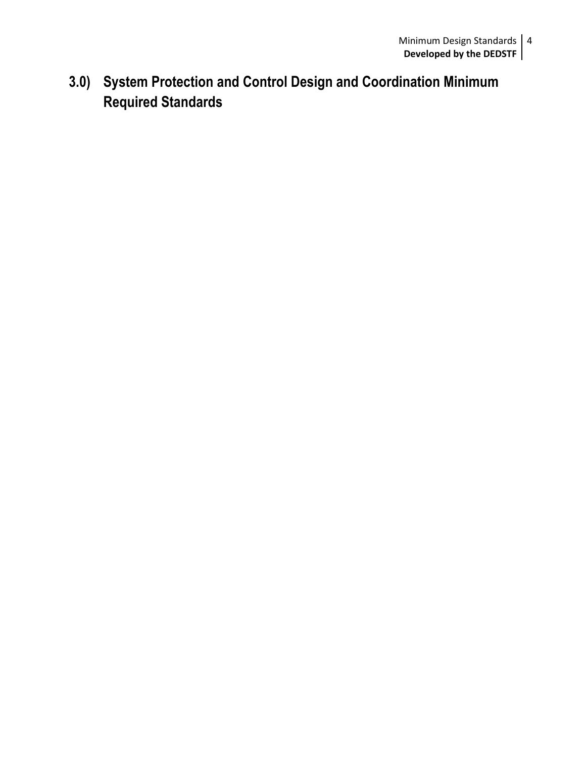**3.0) System Protection and Control Design and Coordination Minimum Required Standards**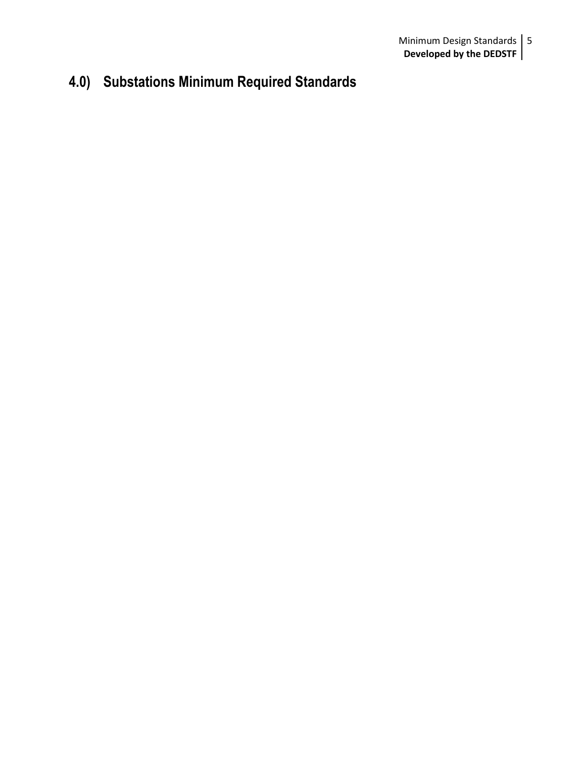### **4.0) Substations Minimum Required Standards**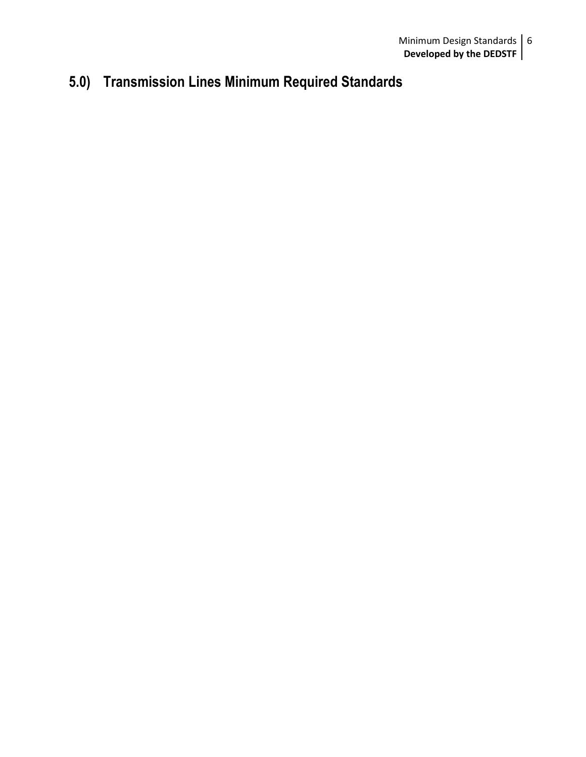### **5.0) Transmission Lines Minimum Required Standards**